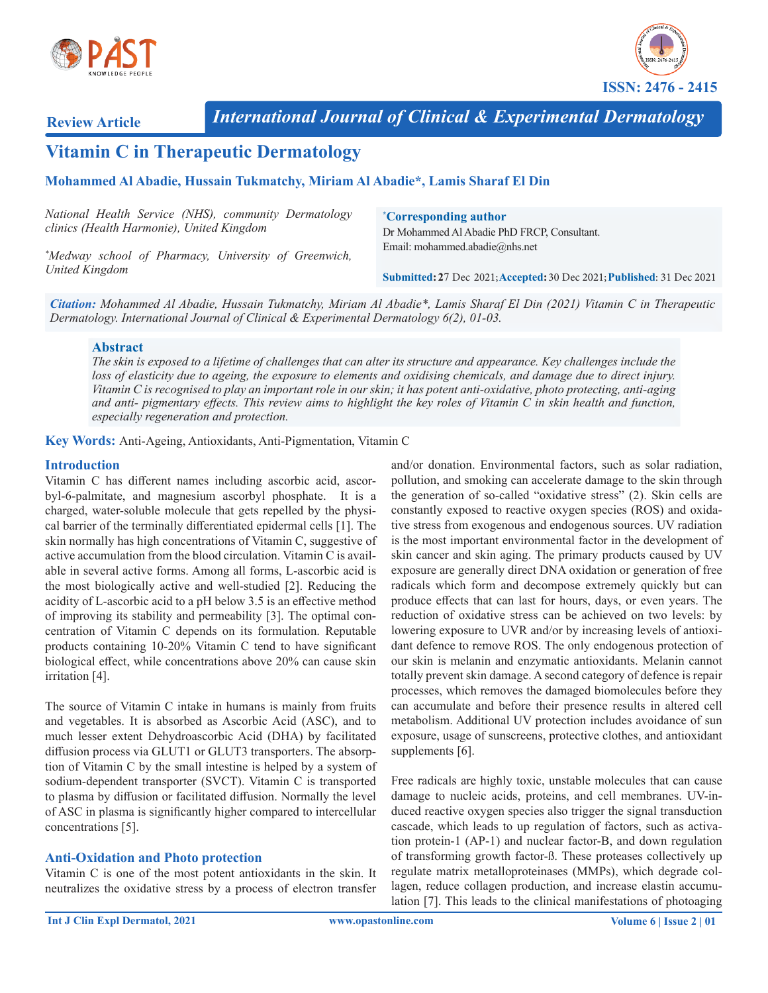



**Review Article**

*International Journal of Clinical & Experimental Dermatology*

# **Vitamin C in Therapeutic Dermatology**

#### **Mohammed Al Abadie, Hussain Tukmatchy, Miriam Al Abadie\*, Lamis Sharaf El Din**

| National Health Service (NHS), community Dermatology<br>clinics (Health Harmonie), United Kingdom | <i><b>Corresponding author</b></i><br>Dr Mohammed Al Abadie PhD FRCP, Consultant. |
|---------------------------------------------------------------------------------------------------|-----------------------------------------------------------------------------------|
| *Medway school of Pharmacy, University of Greenwich,                                              | Email: mohammed.abadie@nhs.net                                                    |
| United Kingdom                                                                                    | Submitted: 27 Dec 2021; Accepted: 30 Dec 2021; Published: 31 Dec 2021             |

*Citation: Mohammed Al Abadie, Hussain Tukmatchy, Miriam Al Abadie\*, Lamis Sharaf El Din (2021) Vitamin C in Therapeutic Dermatology. International Journal of Clinical & Experimental Dermatology 6(2), 01-03.*

#### **Abstract**

*The skin is exposed to a lifetime of challenges that can alter its structure and appearance. Key challenges include the*  loss of elasticity due to ageing, the exposure to elements and oxidising chemicals, and damage due to direct injury. *Vitamin C is recognised to play an important role in our skin; it has potent anti-oxidative, photo protecting, anti-aging*  and anti- pigmentary effects. This review aims to highlight the key roles of Vitamin C in skin health and function, *especially regeneration and protection.*

**Key Words:** Anti-Ageing, Antioxidants, Anti-Pigmentation, Vitamin C

#### **Introduction**

Vitamin C has different names including ascorbic acid, ascorbyl-6-palmitate, and magnesium ascorbyl phosphate. It is a charged, water-soluble molecule that gets repelled by the physical barrier of the terminally differentiated epidermal cells [1]. The skin normally has high concentrations of Vitamin C, suggestive of active accumulation from the blood circulation. Vitamin C is available in several active forms. Among all forms, L-ascorbic acid is the most biologically active and well-studied [2]. Reducing the acidity of L-ascorbic acid to a pH below 3.5 is an effective method of improving its stability and permeability [3]. The optimal concentration of Vitamin C depends on its formulation. Reputable products containing 10-20% Vitamin C tend to have significant biological effect, while concentrations above 20% can cause skin irritation [4].

The source of Vitamin C intake in humans is mainly from fruits and vegetables. It is absorbed as Ascorbic Acid (ASC), and to much lesser extent Dehydroascorbic Acid (DHA) by facilitated diffusion process via GLUT1 or GLUT3 transporters. The absorption of Vitamin C by the small intestine is helped by a system of sodium-dependent transporter (SVCT). Vitamin C is transported to plasma by diffusion or facilitated diffusion. Normally the level of ASC in plasma is significantly higher compared to intercellular concentrations [5].

#### **Anti-Oxidation and Photo protection**

Vitamin C is one of the most potent antioxidants in the skin. It neutralizes the oxidative stress by a process of electron transfer

and/or donation. Environmental factors, such as solar radiation, pollution, and smoking can accelerate damage to the skin through the generation of so-called "oxidative stress" (2). Skin cells are constantly exposed to reactive oxygen species (ROS) and oxidative stress from exogenous and endogenous sources. UV radiation is the most important environmental factor in the development of skin cancer and skin aging. The primary products caused by UV exposure are generally direct DNA oxidation or generation of free radicals which form and decompose extremely quickly but can produce effects that can last for hours, days, or even years. The reduction of oxidative stress can be achieved on two levels: by lowering exposure to UVR and/or by increasing levels of antioxidant defence to remove ROS. The only endogenous protection of our skin is melanin and enzymatic antioxidants. Melanin cannot totally prevent skin damage. A second category of defence is repair processes, which removes the damaged biomolecules before they can accumulate and before their presence results in altered cell metabolism. Additional UV protection includes avoidance of sun exposure, usage of sunscreens, protective clothes, and antioxidant supplements [6].

Free radicals are highly toxic, unstable molecules that can cause damage to nucleic acids, proteins, and cell membranes. UV-induced reactive oxygen species also trigger the signal transduction cascade, which leads to up regulation of factors, such as activation protein-1 (AP-1) and nuclear factor-B, and down regulation of transforming growth factor-ß. These proteases collectively up regulate matrix metalloproteinases (MMPs), which degrade collagen, reduce collagen production, and increase elastin accumulation [7]. This leads to the clinical manifestations of photoaging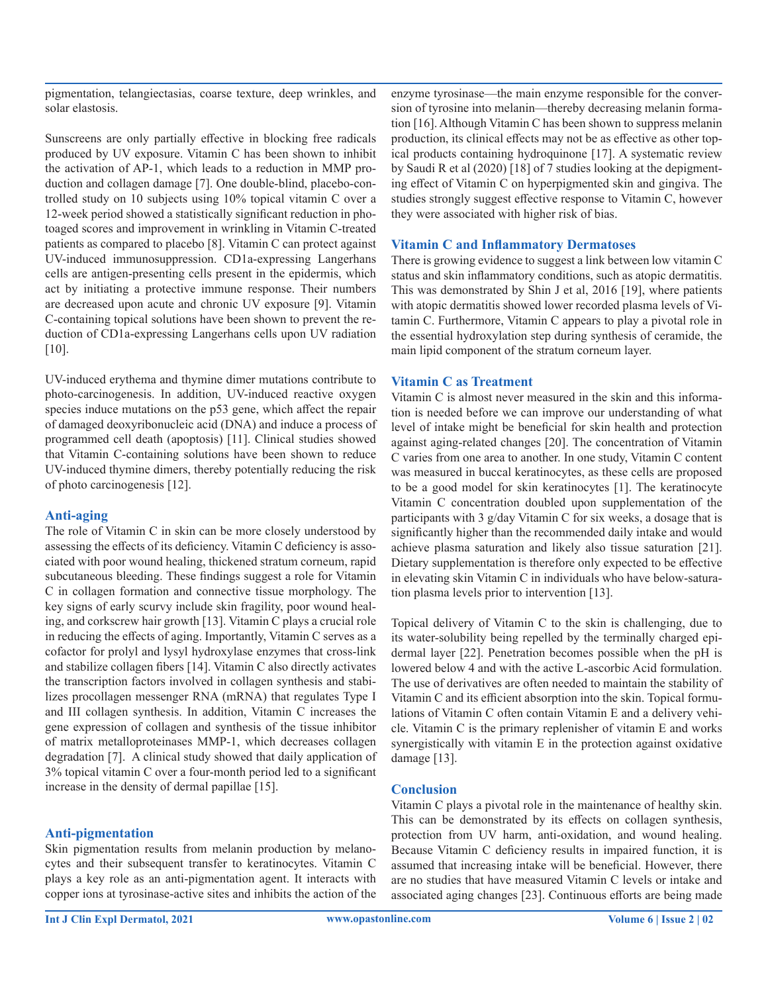pigmentation, telangiectasias, coarse texture, deep wrinkles, and solar elastosis.

Sunscreens are only partially effective in blocking free radicals produced by UV exposure. Vitamin C has been shown to inhibit the activation of AP-1, which leads to a reduction in MMP production and collagen damage [7]. One double-blind, placebo-controlled study on 10 subjects using 10% topical vitamin C over a 12-week period showed a statistically significant reduction in photoaged scores and improvement in wrinkling in Vitamin C-treated patients as compared to placebo [8]. Vitamin C can protect against UV-induced immunosuppression. CD1a-expressing Langerhans cells are antigen-presenting cells present in the epidermis, which act by initiating a protective immune response. Their numbers are decreased upon acute and chronic UV exposure [9]. Vitamin C-containing topical solutions have been shown to prevent the reduction of CD1a-expressing Langerhans cells upon UV radiation [10].

UV-induced erythema and thymine dimer mutations contribute to photo-carcinogenesis. In addition, UV-induced reactive oxygen species induce mutations on the p53 gene, which affect the repair of damaged deoxyribonucleic acid (DNA) and induce a process of programmed cell death (apoptosis) [11]. Clinical studies showed that Vitamin C-containing solutions have been shown to reduce UV-induced thymine dimers, thereby potentially reducing the risk of photo carcinogenesis [12].

#### **Anti-aging**

The role of Vitamin C in skin can be more closely understood by assessing the effects of its deficiency. Vitamin C deficiency is associated with poor wound healing, thickened stratum corneum, rapid subcutaneous bleeding. These findings suggest a role for Vitamin C in collagen formation and connective tissue morphology. The key signs of early scurvy include skin fragility, poor wound healing, and corkscrew hair growth [13]. Vitamin C plays a crucial role in reducing the effects of aging. Importantly, Vitamin C serves as a cofactor for prolyl and lysyl hydroxylase enzymes that cross-link and stabilize collagen fibers [14]. Vitamin C also directly activates the transcription factors involved in collagen synthesis and stabilizes procollagen messenger RNA (mRNA) that regulates Type I and III collagen synthesis. In addition, Vitamin C increases the gene expression of collagen and synthesis of the tissue inhibitor of matrix metalloproteinases MMP-1, which decreases collagen degradation [7]. A clinical study showed that daily application of 3% topical vitamin C over a four-month period led to a significant increase in the density of dermal papillae [15].

## **Anti-pigmentation**

Skin pigmentation results from melanin production by melanocytes and their subsequent transfer to keratinocytes. Vitamin C plays a key role as an anti-pigmentation agent. It interacts with copper ions at tyrosinase-active sites and inhibits the action of the

**Int J Clin Expl Dermatol, 2021 www.opastonline.com Volume 6 | Issue 2 | 02**

enzyme tyrosinase—the main enzyme responsible for the conversion of tyrosine into melanin—thereby decreasing melanin formation [16]. Although Vitamin C has been shown to suppress melanin production, its clinical effects may not be as effective as other topical products containing hydroquinone [17]. A systematic review by Saudi R et al (2020) [18] of 7 studies looking at the depigmenting effect of Vitamin C on hyperpigmented skin and gingiva. The studies strongly suggest effective response to Vitamin C, however they were associated with higher risk of bias.

### **Vitamin C and Inflammatory Dermatoses**

There is growing evidence to suggest a link between low vitamin C status and skin inflammatory conditions, such as atopic dermatitis. This was demonstrated by Shin J et al, 2016 [19], where patients with atopic dermatitis showed lower recorded plasma levels of Vitamin C. Furthermore, Vitamin C appears to play a pivotal role in the essential hydroxylation step during synthesis of ceramide, the main lipid component of the stratum corneum layer.

## **Vitamin C as Treatment**

Vitamin C is almost never measured in the skin and this information is needed before we can improve our understanding of what level of intake might be beneficial for skin health and protection against aging-related changes [20]. The concentration of Vitamin C varies from one area to another. In one study, Vitamin C content was measured in buccal keratinocytes, as these cells are proposed to be a good model for skin keratinocytes [1]. The keratinocyte Vitamin C concentration doubled upon supplementation of the participants with 3 g/day Vitamin C for six weeks, a dosage that is significantly higher than the recommended daily intake and would achieve plasma saturation and likely also tissue saturation [21]. Dietary supplementation is therefore only expected to be effective in elevating skin Vitamin C in individuals who have below-saturation plasma levels prior to intervention [13].

Topical delivery of Vitamin C to the skin is challenging, due to its water-solubility being repelled by the terminally charged epidermal layer [22]. Penetration becomes possible when the pH is lowered below 4 and with the active L-ascorbic Acid formulation. The use of derivatives are often needed to maintain the stability of Vitamin C and its efficient absorption into the skin. Topical formulations of Vitamin C often contain Vitamin E and a delivery vehicle. Vitamin C is the primary replenisher of vitamin E and works synergistically with vitamin E in the protection against oxidative damage [13].

## **Conclusion**

Vitamin C plays a pivotal role in the maintenance of healthy skin. This can be demonstrated by its effects on collagen synthesis, protection from UV harm, anti-oxidation, and wound healing. Because Vitamin C deficiency results in impaired function, it is assumed that increasing intake will be beneficial. However, there are no studies that have measured Vitamin C levels or intake and associated aging changes [23]. Continuous efforts are being made